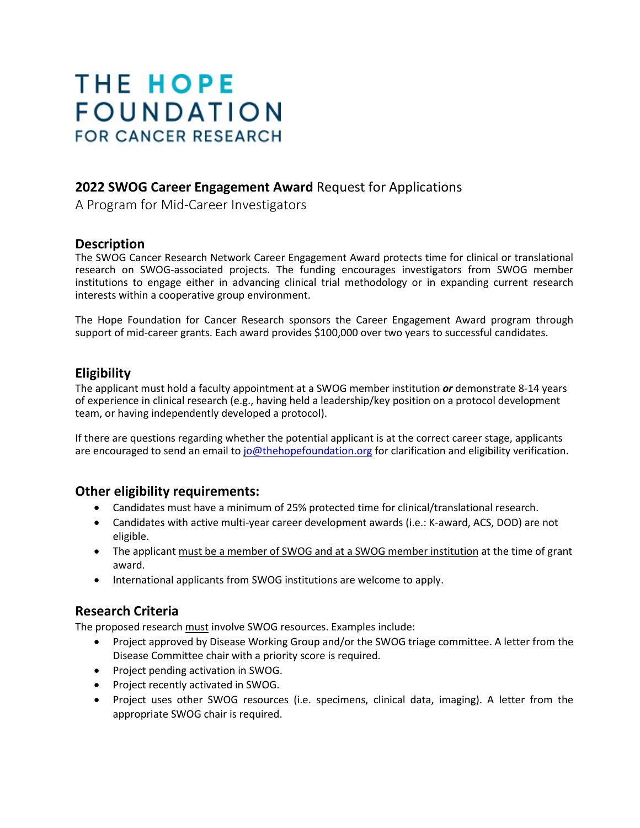# **THE HOPE FOUNDATION FOR CANCER RESEARCH**

# **2022 SWOG Career Engagement Award** Request for Applications

A Program for Mid-Career Investigators

## **Description**

The SWOG Cancer Research Network Career Engagement Award protects time for clinical or translational research on SWOG-associated projects. The funding encourages investigators from SWOG member institutions to engage either in advancing clinical trial methodology or in expanding current research interests within a cooperative group environment.

The Hope Foundation for Cancer Research sponsors the Career Engagement Award program through support of mid-career grants. Each award provides \$100,000 over two years to successful candidates.

# **Eligibility**

The applicant must hold a faculty appointment at a SWOG member institution *or* demonstrate 8-14 years of experience in clinical research (e.g., having held a leadership/key position on a protocol development team, or having independently developed a protocol).

If there are questions regarding whether the potential applicant is at the correct career stage, applicants are encouraged to send an email to [jo@thehopefoundation.org](mailto:jo@thehopefoundation.org) for clarification and eligibility verification.

# **Other eligibility requirements:**

- Candidates must have a minimum of 25% protected time for clinical/translational research.
- Candidates with active multi-year career development awards (i.e.: K-award, ACS, DOD) are not eligible.
- The applicant must be a member of SWOG and at a SWOG member institution at the time of grant award.
- International applicants from SWOG institutions are welcome to apply.

# **Research Criteria**

The proposed research must involve SWOG resources. Examples include:

- Project approved by Disease Working Group and/or the SWOG triage committee. A letter from the Disease Committee chair with a priority score is required.
- Project pending activation in SWOG.
- Project recently activated in SWOG.
- Project uses other SWOG resources (i.e. specimens, clinical data, imaging). A letter from the appropriate SWOG chair is required.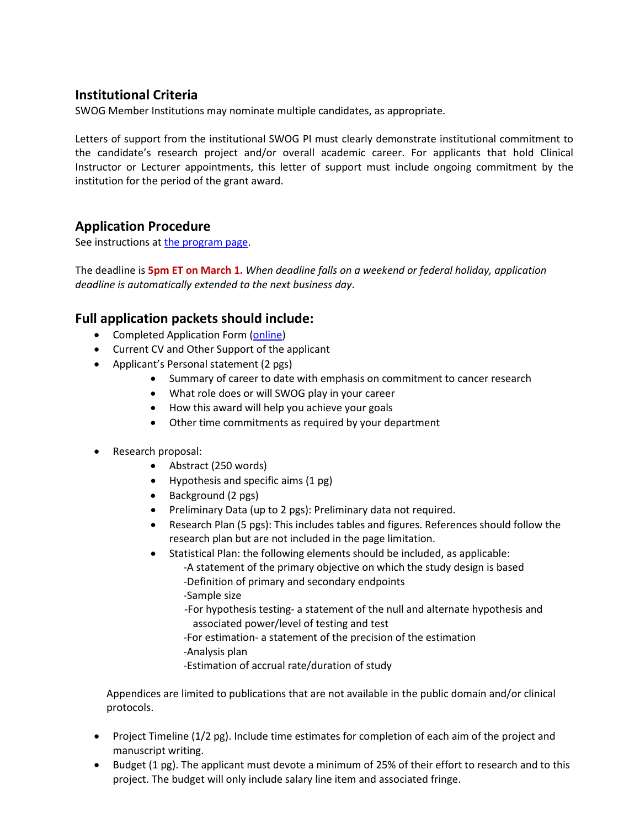# **Institutional Criteria**

SWOG Member Institutions may nominate multiple candidates, as appropriate.

Letters of support from the institutional SWOG PI must clearly demonstrate institutional commitment to the candidate's research project and/or overall academic career. For applicants that hold Clinical Instructor or Lecturer appointments, this letter of support must include ongoing commitment by the institution for the period of the grant award.

# **Application Procedure**

See instructions at [the program page.](https://www.thehopefoundation.org/funding-opportunities/career-engagement-award/)

The deadline is **5pm ET on March 1.** *When deadline falls on a weekend or federal holiday, application deadline is automatically extended to the next business day*.

# **Full application packets should include:**

- Completed Application Form [\(online\)](https://www.thehopefoundation.org/funding-opportunities/career-engagement-award/)
- Current CV and Other Support of the applicant
- Applicant's Personal statement (2 pgs)
	- Summary of career to date with emphasis on commitment to cancer research
	- What role does or will SWOG play in your career
	- How this award will help you achieve your goals
	- Other time commitments as required by your department
- Research proposal:
	- Abstract (250 words)
	- Hypothesis and specific aims (1 pg)
	- Background (2 pgs)
	- Preliminary Data (up to 2 pgs): Preliminary data not required.
	- Research Plan (5 pgs): This includes tables and figures. References should follow the research plan but are not included in the page limitation.
	- Statistical Plan: the following elements should be included, as applicable:
		- -A statement of the primary objective on which the study design is based -Definition of primary and secondary endpoints
		- -Sample size
		- -For hypothesis testing- a statement of the null and alternate hypothesis and associated power/level of testing and test
		- -For estimation- a statement of the precision of the estimation
		- -Analysis plan
		- -Estimation of accrual rate/duration of study

Appendices are limited to publications that are not available in the public domain and/or clinical protocols.

- Project Timeline (1/2 pg). Include time estimates for completion of each aim of the project and manuscript writing.
- Budget (1 pg). The applicant must devote a minimum of 25% of their effort to research and to this project. The budget will only include salary line item and associated fringe.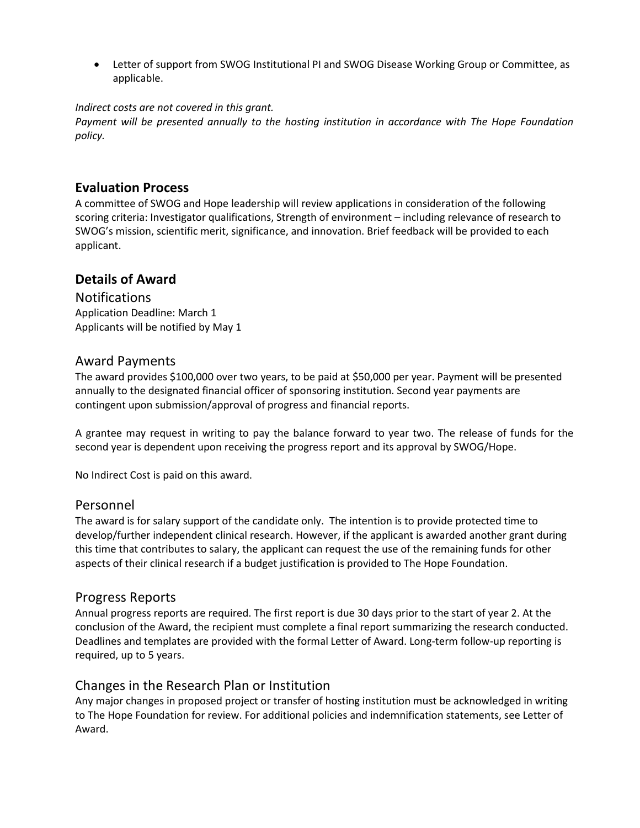• Letter of support from SWOG Institutional PI and SWOG Disease Working Group or Committee, as applicable.

#### *Indirect costs are not covered in this grant.*

*Payment will be presented annually to the hosting institution in accordance with The Hope Foundation policy.*

## **Evaluation Process**

A committee of SWOG and Hope leadership will review applications in consideration of the following scoring criteria: Investigator qualifications, Strength of environment – including relevance of research to SWOG's mission, scientific merit, significance, and innovation. Brief feedback will be provided to each applicant.

## **Details of Award**

**Notifications** Application Deadline: March 1 Applicants will be notified by May 1

## Award Payments

The award provides \$100,000 over two years, to be paid at \$50,000 per year. Payment will be presented annually to the designated financial officer of sponsoring institution. Second year payments are contingent upon submission/approval of progress and financial reports.

A grantee may request in writing to pay the balance forward to year two. The release of funds for the second year is dependent upon receiving the progress report and its approval by SWOG/Hope.

No Indirect Cost is paid on this award.

#### Personnel

The award is for salary support of the candidate only. The intention is to provide protected time to develop/further independent clinical research. However, if the applicant is awarded another grant during this time that contributes to salary, the applicant can request the use of the remaining funds for other aspects of their clinical research if a budget justification is provided to The Hope Foundation.

## Progress Reports

Annual progress reports are required. The first report is due 30 days prior to the start of year 2. At the conclusion of the Award, the recipient must complete a final report summarizing the research conducted. Deadlines and templates are provided with the formal Letter of Award. Long-term follow-up reporting is required, up to 5 years.

## Changes in the Research Plan or Institution

Any major changes in proposed project or transfer of hosting institution must be acknowledged in writing to The Hope Foundation for review. For additional policies and indemnification statements, see Letter of Award.